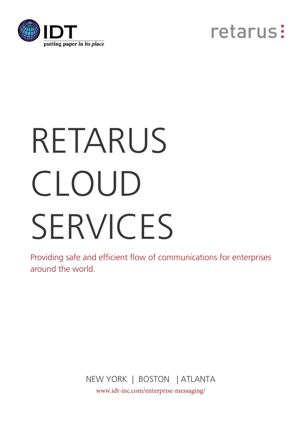



# RETARUS CLOUD SERVICES

Providing safe and efficient flow of communications for enterprises around the world.

> NEW YORK | BOSTON | ATLANTA [www.idt-inc.com/enterprise-messaging/](https://www.idt-inc.com/enterprise-messaging/)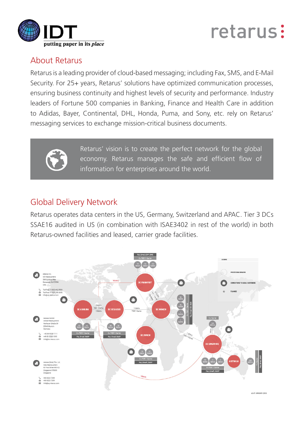

# retarus:

# About Retarus

Retarus is a leading provider of cloud-based messaging; including Fax, SMS, and E-Mail Security. For 25+ years, Retarus' solutions have optimized communication processes, ensuring business continuity and highest levels of security and performance. Industry leaders of Fortune 500 companies in Banking, Finance and Health Care in addition to Adidas, Bayer, Continental, DHL, Honda, Puma, and Sony, etc. rely on Retarus' messaging services to exchange mission-critical business documents.



Retarus' vision is to create the perfect network for the global economy. Retarus manages the safe and efficient flow of information for enterprises around the world.

# Global Delivery Network

Retarus operates data centers in the US, Germany, Switzerland and APAC. Tier 3 DCs SSAE16 audited in US (in combination with ISAE3402 in rest of the world) in both Retarus-owned facilities and leased, carrier grade facilities.



SAT JANUARY 2018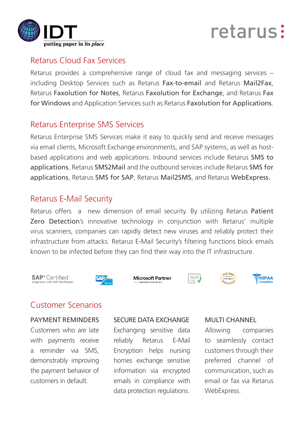

# retarus:

### Retarus Cloud Fax Services

Retarus provides a comprehensive range of cloud fax and messaging services – including Desktop Services such as Retarus Fax-to-email and Retarus Mail2Fax, Retarus Faxolution for Notes, Retarus Faxolution for Exchange, and Retarus Fax for Windows and Application Services such as Retarus Faxolution for Applications.

# Retarus Enterprise SMS Services

Retarus Enterprise SMS Services make it easy to quickly send and receive messages via email clients, Microsoft Exchange environments, and SAP systems, as well as hostbased applications and web applications. Inbound services include Retarus SMS to applications, Retarus SMS2Mail and the outbound services include Retarus SMS for applications, Retarus SMS for SAP, Retarus Mail2SMS, and Retarus WebExpress.

# Retarus E-Mail Security

Retarus offers a new dimension of email security. By utilizing Retarus Patient Zero Detection's innovative technology in conjunction with Retarus' multiple virus scanners, companies can rapidly detect new viruses and reliably protect their infrastructure from attacks. Retarus E-Mail Security's filtering functions block emails known to be infected before they can find their way into the IT infrastructure.













# Customer Scenarios

### PAYMENT REMINDERS

Customers who are late with payments receive a reminder via SMS, demonstrably improving the payment behavior of customers in default.

### SECURE DATA EXCHANGE

Exchanging sensitive data reliably Retarus E-Mail Encryption helps nursing homes exchange sensitive information via encrypted emails in compliance with data protection regulations.

#### MULTI CHANNEL

Allowing companies to seamlessly contact customers through their preferred channel of communication, such as email or fax via Retarus WebExpress.